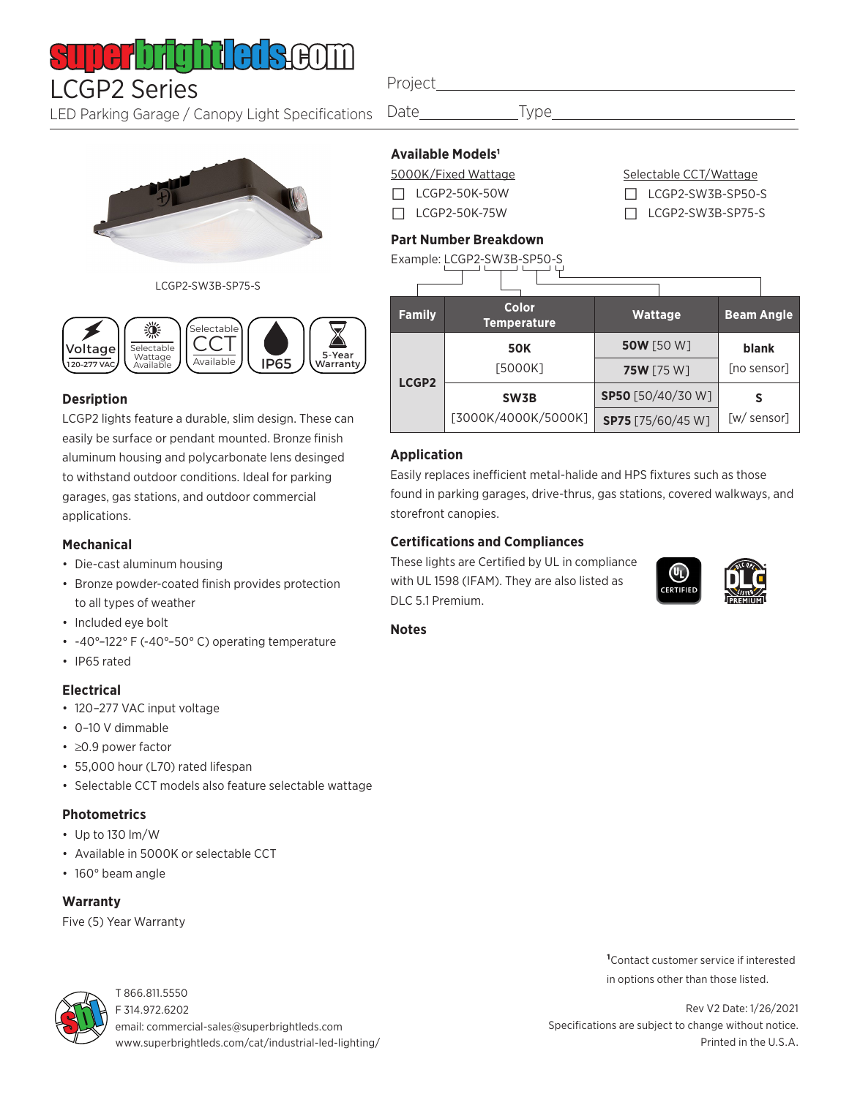#### 1 | | | | | **|** ШН

LCGP2 Series Project

LED Parking Garage / Canopy Light Specifications

Date Type

## **Available Models1**

5000K/Fixed Wattage  $\Box$  LCGP2-50K-50W □ LCGP2-50K-75W

Selectable CCT/Wattage □ LCGP2-SW3B-SP50-S

□ LCGP2-SW3B-SP75-S

### **Part Number Breakdown**



#### **Application**

Easily replaces inefficient metal-halide and HPS fixtures such as those found in parking garages, drive-thrus, gas stations, covered walkways, and storefront canopies.

#### **Certifications and Compliances**

These lights are Certified by UL in compliance with UL 1598 (IFAM). They are also listed as DLC 5.1 Premium.



**Notes**

- 120–277 VAC input voltage
- 0–10 V dimmable
- ≥0.9 power factor
- 55,000 hour (L70) rated lifespan
- Selectable CCT models also feature selectable wattage

#### **Photometrics**

- Up to 130 lm/W
- Available in 5000K or selectable CCT
- 160° beam angle

#### **Warranty**

Five (5) Year Warranty



T 866.811.5550 F 314.972.6202 email: commercial-sales@superbrightleds.com www.superbrightleds.com/cat/industrial-led-lighting/ **1**Contact customer service if interested in options other than those listed.

Rev V2 Date: 1/26/2021 Specifications are subject to change without notice. Printed in the U.S.A.



LCGP2-SW3B-SP75-S



#### **Desription**

LCGP2 lights feature a durable, slim design. These can easily be surface or pendant mounted. Bronze finish aluminum housing and polycarbonate lens desinged to withstand outdoor conditions. Ideal for parking garages, gas stations, and outdoor commercial applications.

#### **Mechanical**

- Die-cast aluminum housing
- Bronze powder-coated finish provides protection to all types of weather
- Included eye bolt
- -40°–122° F (-40°–50° C) operating temperature
- IP65 rated

#### **Electrical**